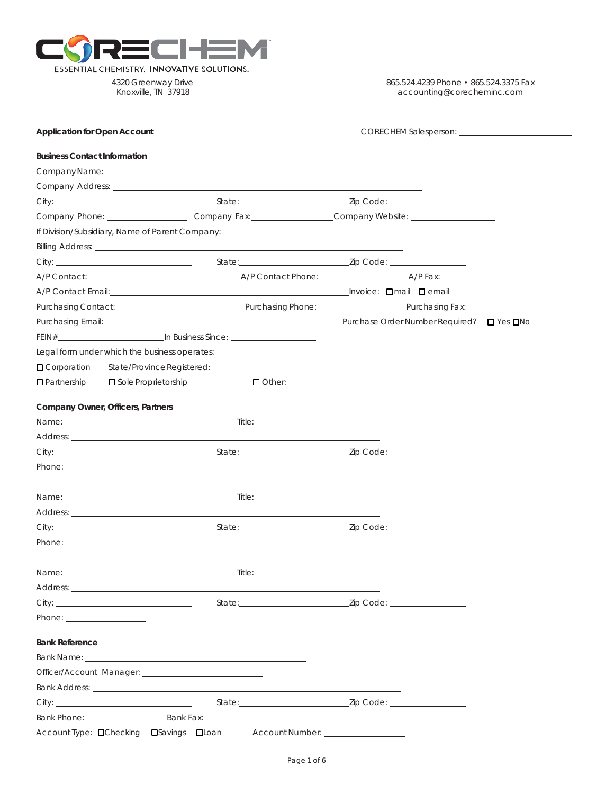

4320 Greenway Drive Knoxville, TN 37918

865.524.4239 Phone • 865.524.3375 Fax [accounting@corecheminc.com](mailto:accounting@corecheminc.com)

| <b>Application for Open Account</b>                                                                                                                                                                                                  |                                                                                       | CORECHEM Salesperson: <u>contract and contract and contract and contract and contract and contract and contract and contract and contract and contract and contract and contract and contract and contract and contract and cont</u>      |  |  |
|--------------------------------------------------------------------------------------------------------------------------------------------------------------------------------------------------------------------------------------|---------------------------------------------------------------------------------------|-------------------------------------------------------------------------------------------------------------------------------------------------------------------------------------------------------------------------------------------|--|--|
| <b>Business Contact Information</b>                                                                                                                                                                                                  |                                                                                       |                                                                                                                                                                                                                                           |  |  |
| Company Name: company Name: company Name: company Name: company Name: company Name: company Name: company Name: company Name: company Name: company Name: company Name: company Name: company Name: company Name: company Name       |                                                                                       |                                                                                                                                                                                                                                           |  |  |
|                                                                                                                                                                                                                                      |                                                                                       |                                                                                                                                                                                                                                           |  |  |
|                                                                                                                                                                                                                                      |                                                                                       |                                                                                                                                                                                                                                           |  |  |
|                                                                                                                                                                                                                                      |                                                                                       | Company Phone: _______________________Company Fax: _________________Company Website: _______________                                                                                                                                      |  |  |
|                                                                                                                                                                                                                                      |                                                                                       |                                                                                                                                                                                                                                           |  |  |
|                                                                                                                                                                                                                                      |                                                                                       |                                                                                                                                                                                                                                           |  |  |
|                                                                                                                                                                                                                                      |                                                                                       |                                                                                                                                                                                                                                           |  |  |
|                                                                                                                                                                                                                                      |                                                                                       |                                                                                                                                                                                                                                           |  |  |
| A/P Contact Email: <u>Denail Denail</u> Contact Email Contact Email Contact Email Contact Email Contact Email Contact Email Contact Email Contact Architecture Contact Architecture Contact Architecture Contact Architecture Conta  |                                                                                       |                                                                                                                                                                                                                                           |  |  |
|                                                                                                                                                                                                                                      |                                                                                       | Purchasing Contact: <u>Alexander Alexander Alexander Alexander Alexander Alexander Alexander Alexander Alexander Alexander Alexander Alexander Alexander Alexander Alexander Alexander Alexander Alexander Alexander Alexander A</u>      |  |  |
|                                                                                                                                                                                                                                      |                                                                                       | Purchasing Email: <u>New York: Number Required?</u> Dives DNo. 2014. [2015] Purchase Order Number Required? Dives DNo                                                                                                                     |  |  |
| FEIN# THE TELEVISION OF THE RESIDENCE OF THE TELEVISION OF THE TELEVISION OF THE TELEVISION OF THE TELEVISION OF THE TELEVISION OF THE TELEVISION OF THE TELEVISION OF THE TELEVISION OF THE TELEVISION OF THE TELEVISION OF T       |                                                                                       |                                                                                                                                                                                                                                           |  |  |
| Legal form under which the business operates:                                                                                                                                                                                        |                                                                                       |                                                                                                                                                                                                                                           |  |  |
| □ Corporation                                                                                                                                                                                                                        |                                                                                       |                                                                                                                                                                                                                                           |  |  |
| $\Box$ Partnership<br><b>□</b> Sole Proprietorship                                                                                                                                                                                   |                                                                                       | <b>O</b> Other: <u>All Other: All Other: All Other: All Other: All Other: All Other: All Other: All Other: All Other: All Others: All Others: All Others: All Others: All Others: All Others: All Others: All Others: All Others: All</u> |  |  |
|                                                                                                                                                                                                                                      |                                                                                       |                                                                                                                                                                                                                                           |  |  |
| Company Owner, Officers, Partners                                                                                                                                                                                                    |                                                                                       |                                                                                                                                                                                                                                           |  |  |
|                                                                                                                                                                                                                                      |                                                                                       |                                                                                                                                                                                                                                           |  |  |
|                                                                                                                                                                                                                                      |                                                                                       |                                                                                                                                                                                                                                           |  |  |
|                                                                                                                                                                                                                                      |                                                                                       |                                                                                                                                                                                                                                           |  |  |
| Phone: ____________________                                                                                                                                                                                                          |                                                                                       |                                                                                                                                                                                                                                           |  |  |
|                                                                                                                                                                                                                                      |                                                                                       |                                                                                                                                                                                                                                           |  |  |
|                                                                                                                                                                                                                                      |                                                                                       |                                                                                                                                                                                                                                           |  |  |
|                                                                                                                                                                                                                                      |                                                                                       |                                                                                                                                                                                                                                           |  |  |
|                                                                                                                                                                                                                                      |                                                                                       |                                                                                                                                                                                                                                           |  |  |
| Phone: ______________________                                                                                                                                                                                                        |                                                                                       |                                                                                                                                                                                                                                           |  |  |
|                                                                                                                                                                                                                                      |                                                                                       |                                                                                                                                                                                                                                           |  |  |
|                                                                                                                                                                                                                                      |                                                                                       |                                                                                                                                                                                                                                           |  |  |
|                                                                                                                                                                                                                                      | $\begin{array}{c} \begin{array}{c} \begin{array}{c} \end{array}\\ \end{array}$ Title: |                                                                                                                                                                                                                                           |  |  |
|                                                                                                                                                                                                                                      |                                                                                       |                                                                                                                                                                                                                                           |  |  |
|                                                                                                                                                                                                                                      |                                                                                       |                                                                                                                                                                                                                                           |  |  |
| Name:<br>Phone: _____________________                                                                                                                                                                                                |                                                                                       |                                                                                                                                                                                                                                           |  |  |
| <b>Bank Reference</b>                                                                                                                                                                                                                |                                                                                       |                                                                                                                                                                                                                                           |  |  |
|                                                                                                                                                                                                                                      |                                                                                       |                                                                                                                                                                                                                                           |  |  |
| Officer/Account Manager: The Contract of the Contract of the Contract of the Contract of the Contract of the Contract of the Contract of the Contract of the Contract of the Contract of the Contract of the Contract of the C       |                                                                                       |                                                                                                                                                                                                                                           |  |  |
|                                                                                                                                                                                                                                      |                                                                                       |                                                                                                                                                                                                                                           |  |  |
| Bank Address: <u>New York: New York: New York: New York: New York: New York: New York: New York: New York: New York: New York: New York: New York: New York: New York: New York: New York: New York: New York: New York: New Yor</u> |                                                                                       |                                                                                                                                                                                                                                           |  |  |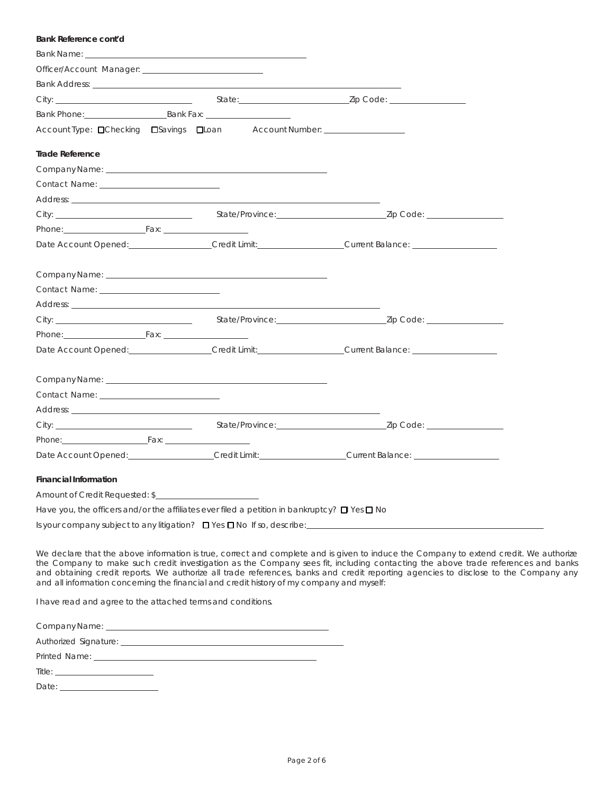| Bank Reference cont'd                                                                                                                                                                                                          |  |  |  |
|--------------------------------------------------------------------------------------------------------------------------------------------------------------------------------------------------------------------------------|--|--|--|
|                                                                                                                                                                                                                                |  |  |  |
| Officer/Account Manager: The Contract of the Contract of the Contract of the Contract of the Contract of the Contract of the Contract of the Contract of the Contract of the Contract of the Contract of the Contract of the C |  |  |  |
|                                                                                                                                                                                                                                |  |  |  |
|                                                                                                                                                                                                                                |  |  |  |
| Bank Phone: Bank Fax: Bank Tax:                                                                                                                                                                                                |  |  |  |
| Account Type: □Checking □Savings □Loan Account Number: _________________________                                                                                                                                               |  |  |  |
| <b>Trade Reference</b>                                                                                                                                                                                                         |  |  |  |
|                                                                                                                                                                                                                                |  |  |  |
| Contact Name: The Contact Order of the Contact Order of the Contact Order of the Contact Order of the Contact O                                                                                                                |  |  |  |
| Address: the contract of the contract of the contract of the contract of the contract of the contract of the contract of the contract of the contract of the contract of the contract of the contract of the contract of the c |  |  |  |
|                                                                                                                                                                                                                                |  |  |  |
| Phone: Fax: Fax: Fax: Phone:                                                                                                                                                                                                   |  |  |  |
| Date Account Opened: Credit Limit: Credit Limit: Current Balance:                                                                                                                                                              |  |  |  |
|                                                                                                                                                                                                                                |  |  |  |
|                                                                                                                                                                                                                                |  |  |  |
| Address: the contract of the contract of the contract of the contract of the contract of the contract of the contract of the contract of the contract of the contract of the contract of the contract of the contract of the c |  |  |  |
|                                                                                                                                                                                                                                |  |  |  |
| Phone: Fax: Fax: Fax: 1999                                                                                                                                                                                                     |  |  |  |
| Date Account Opened: Credit Limit: Credit Limit: Current Balance: Current Balance:                                                                                                                                             |  |  |  |
|                                                                                                                                                                                                                                |  |  |  |
|                                                                                                                                                                                                                                |  |  |  |
| Address: Annual Material Address: Address: Address: Address: Address: Address: Address: Address: Address: Address: Address: Address: Address: Address: Address: Address: Address: Address: Address: Address: Address: Address: |  |  |  |
|                                                                                                                                                                                                                                |  |  |  |
| Phone: Fax: Fax: Fax: Phone:                                                                                                                                                                                                   |  |  |  |
| Date Account Opened: Communication of Credit Limit: Current Balance: Current Balance:                                                                                                                                          |  |  |  |
| <b>Financial Information</b>                                                                                                                                                                                                   |  |  |  |
| Amount of Credit Requested: \$                                                                                                                                                                                                 |  |  |  |
| Have you, the officers and/or the affiliates ever filed a petition in bankruptcy? $\square$ Yes $\square$ No                                                                                                                   |  |  |  |
| Is your company subject to any litigation?<br><u>D</u> Yes <b>D</b> No If so, describe:<br><u> Case of the secondary subject to any litigation? <br/> D Yes <b>D</b> No If so, describe:</u>                                   |  |  |  |

We declare that the above information is true, correct and complete and is given to induce the Company to extend credit. We authorize the Company to make such credit investigation as the Company sees fit, including contacting the above trade references and banks and obtaining credit reports. We authorize all trade references, banks and credit reporting agencies to disclose to the Company any and all information concerning the financial and credit history of my company and myself:

I have read and agree to the attached terms and conditions.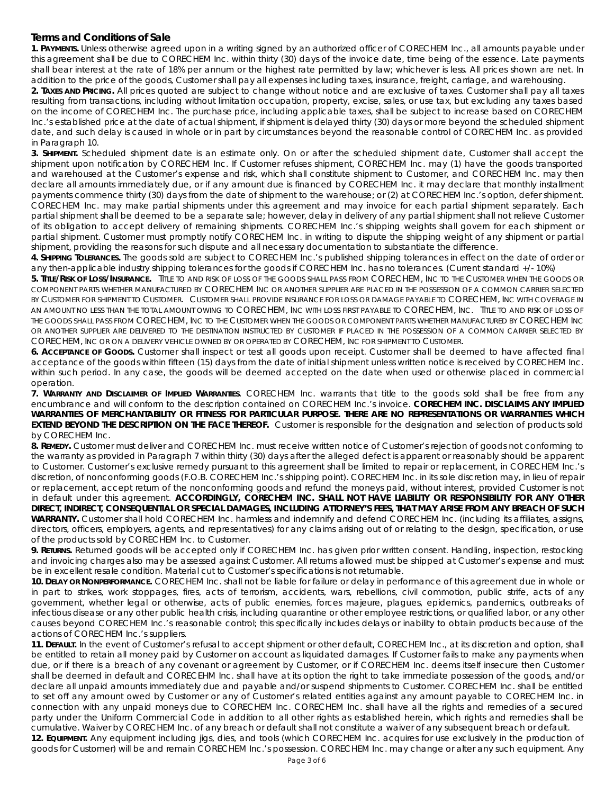# *Terms and Conditions of Sale*

**1. PAYMENTS.** Unless otherwise agreed upon in a writing signed by an authorized officer of CORECHEM Inc., all amounts payable under this agreement shall be due to CORECHEM Inc. within thirty (30) days of the invoice date, time being of the essence. Late payments shall bear interest at the rate of 18% per annum or the highest rate permitted by law; whichever is less. All prices shown are net. In addition to the price of the goods, Customer shall pay all expenses including taxes, insurance, freight, carriage, and warehousing.

**2. TAXES AND PRICING.** All prices quoted are subject to change without notice and are exclusive of taxes. Customer shall pay all taxes resulting from transactions, including without limitation occupation, property, excise, sales, or use tax, but excluding any taxes based on the income of CORECHEM Inc. The purchase price, including applicable taxes, shall be subject to increase based on CORECHEM Inc.'s established price at the date of actual shipment, if shipment is delayed thirty (30) days or more beyond the scheduled shipment date, and such delay is caused in whole or in part by circumstances beyond the reasonable control of CORECHEM Inc. as provided in Paragraph 10.

**3. SHIPMENT.** Scheduled shipment date is an estimate only. On or after the scheduled shipment date, Customer shall accept the shipment upon notification by CORECHEM Inc. If Customer refuses shipment, CORECHEM Inc. may (1) have the goods transported and warehoused at the Customer's expense and risk, which shall constitute shipment to Customer, and CORECHEM Inc. may then declare all amounts immediately due, or if any amount due is financed by CORECHEM Inc. it may declare that monthly installment payments commence thirty (30) days from the date of shipment to the warehouse; or (2) at CORECHEM Inc.'s option, defer shipment. CORECHEM Inc. may make partial shipments under this agreement and may invoice for each partial shipment separately. Each partial shipment shall be deemed to be a separate sale; however, delay in delivery of any partial shipment shall not relieve Customer of its obligation to accept delivery of remaining shipments. CORECHEM Inc.'s shipping weights shall govern for each shipment or partial shipment. Customer must promptly notify CORECHEM Inc. in writing to dispute the shipping weight of any shipment or partial shipment, providing the reasons for such dispute and all necessary documentation to substantiate the difference.

**4. SHIPPING TOLERANCES.** The goods sold are subject to CORECHEM Inc.'s published shipping tolerances in effect on the date of order or any then-applicable industry shipping tolerances for the goods if CORECHEM Inc. has no tolerances. (Current standard +/- 10%)

**5. TITLE/RISK OF LOSS/INSURANCE.** TITLE TO AND RISK OF LOSS OF THE GOODS SHALL PASS FROM CORECHEM, INC TO THE CUSTOMER WHEN THE GOODS OR COMPONENT PARTS WHETHER MANUFACTURED BY CORECHEM INC OR ANOTHER SUPPLIER ARE PLACED IN THE POSSESSION OF A COMMON CARRIER SELECTED BY CUSTOMER FOR SHIPMENT TO CUSTOMER. CUSTOMER SHALL PROVIDE INSURANCE FOR LOSS OR DAMAGE PAYABLE TO CORECHEM, INC WITH COVERAGE IN AN AMOUNT NO LESS THAN THE TOTAL AMOUNT OWING TO CORECHEM, INC WITH LOSS FIRST PAYABLE TO CORECHEM, INC. TITLE TO AND RISK OF LOSS OF THE GOODS SHALL PASS FROM CORECHEM, INC TO THE CUSTOMER WHEN THE GOODS OR COMPONENT PARTS WHETHER MANUFACTURED BY CORECHEM INC OR ANOTHER SUPPLIER ARE DELIVERED TO THE DESTINATION INSTRUCTED BY CUSTOMER IF PLACED IN THE POSSESSION OF A COMMON CARRIER SELECTED BY CORECHEM, INC OR ON A DELIVERY VEHICLE OWNED BY OR OPERATED BY CORECHEM, INC FOR SHIPMENT TO CUSTOMER.

**6. ACCEPTANCE OF GOODS.** Customer shall inspect or test all goods upon receipt. Customer shall be deemed to have affected final acceptance of the goods within fifteen (15) days from the date of initial shipment unless written notice is received by CORECHEM Inc. within such period. In any case, the goods will be deemed accepted on the date when used or otherwise placed in commercial operation.

**7. WARRANTY AND DISCLAIMER OF IMPLIED WARRANTIES**. CORECHEM Inc. warrants that title to the goods sold shall be free from any encumbrance and will conform to the description contained on CORECHEM Inc.'s invoice. **CORECHEM INC. DISCLAIMS ANY IMPLIED WARRANTIES OF MERCHANTABILITY OR FITNESS FOR PARTICULAR PURPOSE. THERE ARE NO REPRESENTATIONS OR WARRANTIES WHICH EXTEND BEYOND THE DESCRIPTION ON THE FACE THEREOF.** Customer is responsible for the designation and selection of products sold by CORECHEM Inc.

**8. REMEDY.** Customer must deliver and CORECHEM Inc. must receive written notice of Customer's rejection of goods not conforming to the warranty as provided in Paragraph 7 within thirty (30) days after the alleged defect is apparent or reasonably should be apparent to Customer. Customer's exclusive remedy pursuant to this agreement shall be limited to repair or replacement, in CORECHEM Inc.'s discretion, of nonconforming goods (F.O.B. CORECHEM Inc.'s shipping point). CORECHEM Inc. in its sole discretion may, in lieu of repair or replacement, accept return of the nonconforming goods and refund the moneys paid, without interest, provided Customer is not in default under this agreement. **ACCORDINGLY, CORECHEM INC. SHALL NOT HAVE LIABILITY OR RESPONSIBILITY FOR ANY OTHER DIRECT, INDIRECT, CONSEQUENTIAL OR SPECIAL DAMAGES, INCLUDING ATTORNEY'S FEES, THAT MAY ARISE FROM ANY BREACH OF SUCH WARRANTY.** Customer shall hold CORECHEM Inc. harmless and indemnify and defend CORECHEM Inc. (including its affiliates, assigns, directors, officers, employers, agents, and representatives) for any claims arising out of or relating to the design, specification, or use of the products sold by CORECHEM Inc. to Customer.

**9. RETURNS.** Returned goods will be accepted only if CORECHEM Inc. has given prior written consent. Handling, inspection, restocking and invoicing charges also may be assessed against Customer. All returns allowed must be shipped at Customer's expense and must be in excellent resale condition. Material cut to Customer's specifications is not returnable.

**10. DELAY OR NONPERFORMANCE.** CORECHEM Inc. shall not be liable for failure or delay in performance of this agreement due in whole or in part to strikes, work stoppages, fires, acts of terrorism, accidents, wars, rebellions, civil commotion, public strife, acts of any government, whether legal or otherwise, acts of public enemies, forces majeure, plagues, epidemics, pandemics, outbreaks of infectious disease or any other public health crisis, including quarantine or other employee restrictions, or qualified labor, or any other causes beyond CORECHEM Inc.'s reasonable control; this specifically includes delays or inability to obtain products because of the actions of CORECHEM Inc.'s suppliers.

**11. DEFAULT.** In the event of Customer's refusal to accept shipment or other default, CORECHEM Inc., at its discretion and option, shall be entitled to retain all money paid by Customer on account as liquidated damages. If Customer fails to make any payments when due, or if there is a breach of any covenant or agreement by Customer, or if CORECHEM Inc. deems itself insecure then Customer shall be deemed in default and CORECEHM Inc. shall have at its option the right to take immediate possession of the goods, and/or declare all unpaid amounts immediately due and payable and/or suspend shipments to Customer. CORECHEM Inc. shall be entitled to set off any amount owed by Customer or any of Customer's related entities against any amount payable to CORECHEM Inc. in connection with any unpaid moneys due to CORECHEM Inc. CORECHEM Inc. shall have all the rights and remedies of a secured party under the Uniform Commercial Code in addition to all other rights as established herein, which rights and remedies shall be cumulative. Waiver by CORECHEM Inc. of any breach or default shall not constitute a waiver of any subsequent breach or default. **12. EQUIPMENT.** Any equipment including jigs, dies, and tools (which CORECHEM Inc. acquires for use exclusively in the production of

goods for Customer) will be and remain CORECHEM Inc.'s possession. CORECHEM Inc. may change or alter any such equipment. Any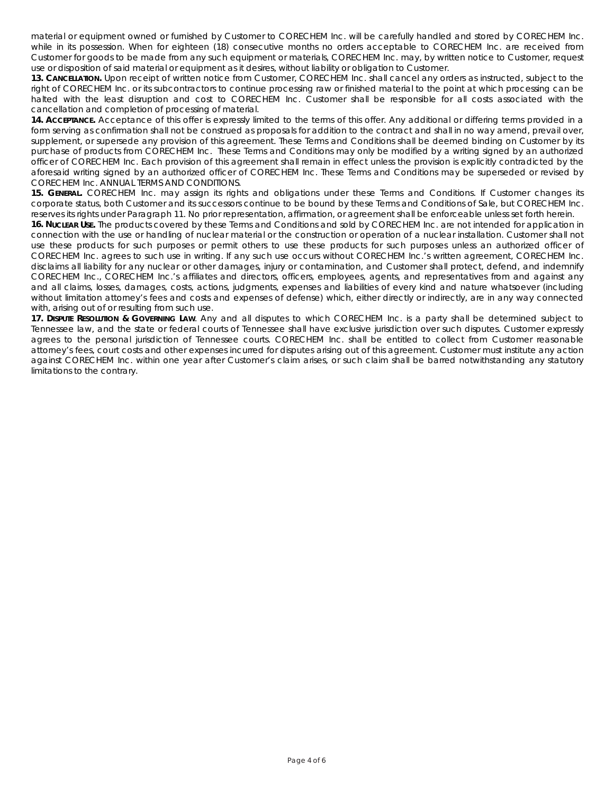material or equipment owned or furnished by Customer to CORECHEM Inc. will be carefully handled and stored by CORECHEM Inc. while in its possession. When for eighteen (18) consecutive months no orders acceptable to CORECHEM Inc. are received from Customer for goods to be made from any such equipment or materials, CORECHEM Inc. may, by written notice to Customer, request use or disposition of said material or equipment as it desires, without liability or obligation to Customer.

**13. CANCELLATION.** Upon receipt of written notice from Customer, CORECHEM Inc. shall cancel any orders as instructed, subject to the right of CORECHEM Inc. or its subcontractors to continue processing raw or finished material to the point at which processing can be halted with the least disruption and cost to CORECHEM Inc. Customer shall be responsible for all costs associated with the cancellation and completion of processing of material.

**14. ACCEPTANCE.** Acceptance of this offer is expressly limited to the terms of this offer. Any additional or differing terms provided in a form serving as confirmation shall not be construed as proposals for addition to the contract and shall in no way amend, prevail over, supplement, or supersede any provision of this agreement. These Terms and Conditions shall be deemed binding on Customer by its purchase of products from CORECHEM Inc. These Terms and Conditions may only be modified by a writing signed by an authorized officer of CORECHEM Inc. Each provision of this agreement shall remain in effect unless the provision is explicitly contradicted by the aforesaid writing signed by an authorized officer of CORECHEM Inc. These Terms and Conditions may be superseded or revised by CORECHEM Inc. ANNUAL TERMS AND CONDITIONS.

**15. GENERAL.** CORECHEM Inc. may assign its rights and obligations under these Terms and Conditions. If Customer changes its corporate status, both Customer and its successors continue to be bound by these Terms and Conditions of Sale, but CORECHEM Inc. reserves its rights under Paragraph 11. No prior representation, affirmation, or agreement shall be enforceable unless set forth herein.

**16. NUCLEAR USE.** The products covered by these Terms and Conditions and sold by CORECHEM Inc. are not intended for application in connection with the use or handling of nuclear material or the construction or operation of a nuclear installation. Customer shall not use these products for such purposes or permit others to use these products for such purposes unless an authorized officer of CORECHEM Inc. agrees to such use in writing. If any such use occurs without CORECHEM Inc.'s written agreement, CORECHEM Inc. disclaims all liability for any nuclear or other damages, injury or contamination, and Customer shall protect, defend, and indemnify CORECHEM Inc., CORECHEM Inc.'s affiliates and directors, officers, employees, agents, and representatives from and against any and all claims, losses, damages, costs, actions, judgments, expenses and liabilities of every kind and nature whatsoever (including without limitation attorney's fees and costs and expenses of defense) which, either directly or indirectly, are in any way connected with, arising out of or resulting from such use.

**17. DISPUTE RESOLUTION & GOVERNING LAW**. Any and all disputes to which CORECHEM Inc. is a party shall be determined subject to Tennessee law, and the state or federal courts of Tennessee shall have exclusive jurisdiction over such disputes. Customer expressly agrees to the personal jurisdiction of Tennessee courts. CORECHEM Inc. shall be entitled to collect from Customer reasonable attorney's fees, court costs and other expenses incurred for disputes arising out of this agreement. Customer must institute any action against CORECHEM Inc. within one year after Customer's claim arises, or such claim shall be barred notwithstanding any statutory limitations to the contrary.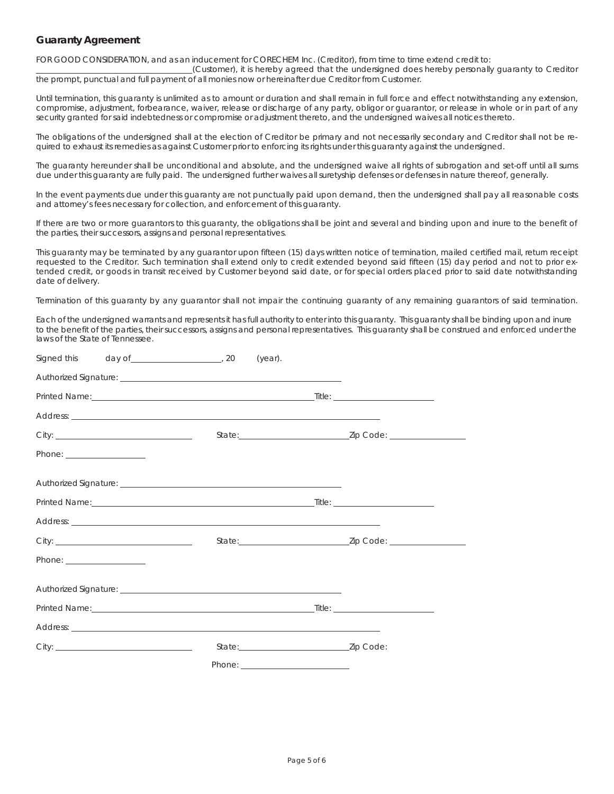## *Guaranty Agreement*

FOR GOOD CONSIDERATION, and as an inducement for CORECHEM Inc. (Creditor), from time to time extend credit to:

(Customer), it is hereby agreed that the undersigned does hereby personally guaranty to Creditor the prompt, punctual and full payment of all monies now or hereinafter due Creditor from Customer.

Until termination, this guaranty is unlimited as to amount or duration and shall remain in full force and effect notwithstanding any extension, compromise, adjustment, forbearance, waiver, release or discharge of any party, obligor or guarantor, or release in whole or in part of any security granted for said indebtedness or compromise or adjustment thereto, and the undersigned waives all notices thereto.

The obligations of the undersigned shall at the election of Creditor be primary and not necessarily secondary and Creditor shall not be required to exhaust its remedies as against Customer prior to enforcing its rights under this guaranty against the undersigned.

The guaranty hereunder shall be unconditional and absolute, and the undersigned waive all rights of subrogation and set-off until all sums due under this guaranty are fully paid. The undersigned further waives all suretyship defenses or defenses in nature thereof, generally.

In the event payments due under this guaranty are not punctually paid upon demand, then the undersigned shall pay all reasonable costs and attorney's fees necessary for collection, and enforcement of this guaranty.

If there are two or more guarantors to this guaranty, the obligations shall be joint and several and binding upon and inure to the benefit of the parties, their successors, assigns and personal representatives.

This guaranty may be terminated by any guarantor upon fifteen (15) days written notice of termination, mailed certified mail, return receipt requested to the Creditor. Such termination shall extend only to credit extended beyond said fifteen (15) day period and not to prior extended credit, or goods in transit received by Customer beyond said date, or for special orders placed prior to said date notwithstanding date of delivery.

Termination of this guaranty by any guarantor shall not impair the continuing guaranty of any remaining guarantors of said termination.

Each of the undersigned warrants and representsit has full authority to enter into this guaranty. This guaranty shall be binding upon and inure to the benefit of the parties, their successors, assigns and personal representatives. This guaranty shall be construed and enforced under the laws of the State of Tennessee.

| Signed this day of 20 | (year).                                                                                                                                                                                                                        |                                   |
|-----------------------|--------------------------------------------------------------------------------------------------------------------------------------------------------------------------------------------------------------------------------|-----------------------------------|
|                       |                                                                                                                                                                                                                                |                                   |
|                       |                                                                                                                                                                                                                                |                                   |
|                       |                                                                                                                                                                                                                                |                                   |
|                       |                                                                                                                                                                                                                                | State: <u>Zip Code:</u> Zip Code: |
|                       |                                                                                                                                                                                                                                |                                   |
|                       |                                                                                                                                                                                                                                |                                   |
|                       |                                                                                                                                                                                                                                |                                   |
|                       |                                                                                                                                                                                                                                |                                   |
|                       |                                                                                                                                                                                                                                | State: <u>Zip Code:</u> Zip Code: |
|                       |                                                                                                                                                                                                                                |                                   |
|                       |                                                                                                                                                                                                                                |                                   |
|                       |                                                                                                                                                                                                                                |                                   |
|                       |                                                                                                                                                                                                                                |                                   |
|                       |                                                                                                                                                                                                                                |                                   |
|                       | Phone: The contract of the contract of the contract of the contract of the contract of the contract of the contract of the contract of the contract of the contract of the contract of the contract of the contract of the con |                                   |